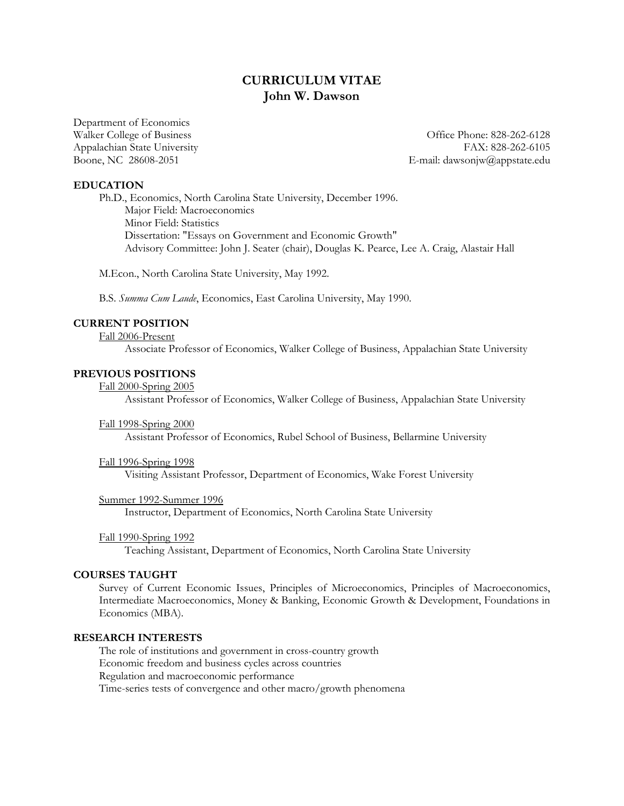# **CURRICULUM VITAE John W. Dawson**

Department of Economics

Walker College of Business College of Business College of Business College and College of Business College and College and College and College and College and College and College and College and College and College and Col Appalachian State University FAX: 828-262-6105 Boone, NC 28608-2051 **E-mail:** dawsonjw@appstate.edu

# **EDUCATION**

Ph.D., Economics, North Carolina State University, December 1996. Major Field: Macroeconomics Minor Field: Statistics Dissertation: "Essays on Government and Economic Growth" Advisory Committee: John J. Seater (chair), Douglas K. Pearce, Lee A. Craig, Alastair Hall

M.Econ., North Carolina State University, May 1992.

B.S. *Summa Cum Laude*, Economics, East Carolina University, May 1990.

# **CURRENT POSITION**

Fall 2006-Present

Associate Professor of Economics, Walker College of Business, Appalachian State University

## **PREVIOUS POSITIONS**

Fall 2000-Spring 2005

Assistant Professor of Economics, Walker College of Business, Appalachian State University

#### Fall 1998-Spring 2000

Assistant Professor of Economics, Rubel School of Business, Bellarmine University

#### Fall 1996-Spring 1998

Visiting Assistant Professor, Department of Economics, Wake Forest University

#### Summer 1992-Summer 1996

Instructor, Department of Economics, North Carolina State University

#### Fall 1990-Spring 1992

Teaching Assistant, Department of Economics, North Carolina State University

## **COURSES TAUGHT**

Survey of Current Economic Issues, Principles of Microeconomics, Principles of Macroeconomics, Intermediate Macroeconomics, Money & Banking, Economic Growth & Development, Foundations in Economics (MBA).

## **RESEARCH INTERESTS**

The role of institutions and government in cross-country growth Economic freedom and business cycles across countries Regulation and macroeconomic performance Time-series tests of convergence and other macro/growth phenomena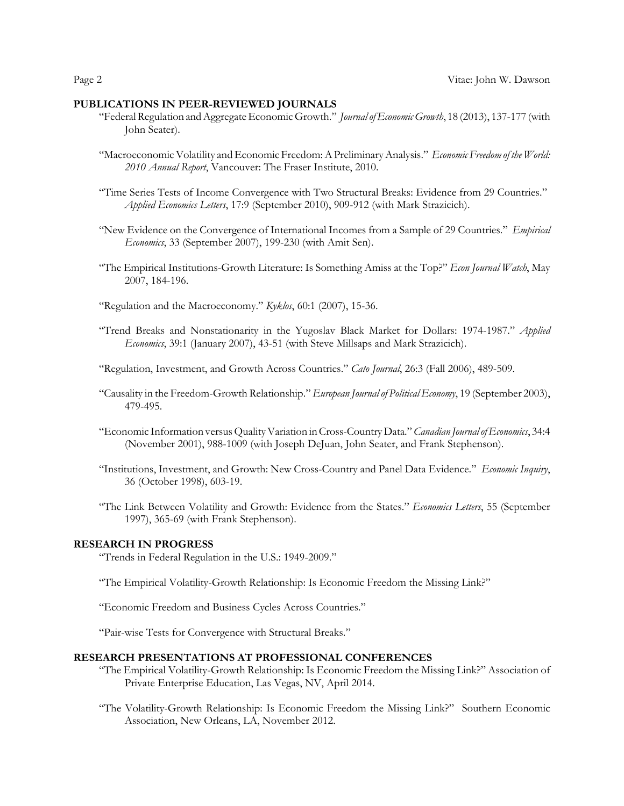## **PUBLICATIONS IN PEER-REVIEWED JOURNALS**

- "Federal Regulation and Aggregate Economic Growth." *Journal of Economic Growth*, 18 (2013), 137-177 (with John Seater).
- "Macroeconomic Volatility and Economic Freedom: A Preliminary Analysis." *Economic Freedom of the World: 2010 Annual Report*, Vancouver: The Fraser Institute, 2010.
- "Time Series Tests of Income Convergence with Two Structural Breaks: Evidence from 29 Countries." *Applied Economics Letters*, 17:9 (September 2010), 909-912 (with Mark Strazicich).
- "New Evidence on the Convergence of International Incomes from a Sample of 29 Countries." *Empirical Economics*, 33 (September 2007), 199-230 (with Amit Sen).
- "The Empirical Institutions-Growth Literature: Is Something Amiss at the Top?" *Econ Journal Watch*, May 2007, 184-196.
- "Regulation and the Macroeconomy." *Kyklos*, 60:1 (2007), 15-36.
- "Trend Breaks and Nonstationarity in the Yugoslav Black Market for Dollars: 1974-1987." *Applied Economics*, 39:1 (January 2007), 43-51 (with Steve Millsaps and Mark Strazicich).

"Regulation, Investment, and Growth Across Countries." *Cato Journal*, 26:3 (Fall 2006), 489-509.

- "Causality in the Freedom-Growth Relationship." *European Journal of Political Economy*, 19 (September 2003), 479-495.
- "Economic Information versus Quality Variation in Cross-Country Data." *Canadian Journal of Economics*, 34:4 (November 2001), 988-1009 (with Joseph DeJuan, John Seater, and Frank Stephenson).
- "Institutions, Investment, and Growth: New Cross-Country and Panel Data Evidence." *Economic Inquiry*, 36 (October 1998), 603-19.
- "The Link Between Volatility and Growth: Evidence from the States." *Economics Letters*, 55 (September 1997), 365-69 (with Frank Stephenson).

# **RESEARCH IN PROGRESS**

"Trends in Federal Regulation in the U.S.: 1949-2009."

"The Empirical Volatility-Growth Relationship: Is Economic Freedom the Missing Link?"

"Economic Freedom and Business Cycles Across Countries."

"Pair-wise Tests for Convergence with Structural Breaks."

#### **RESEARCH PRESENTATIONS AT PROFESSIONAL CONFERENCES**

- "The Empirical Volatility-Growth Relationship: Is Economic Freedom the Missing Link?" Association of Private Enterprise Education, Las Vegas, NV, April 2014.
- "The Volatility-Growth Relationship: Is Economic Freedom the Missing Link?" Southern Economic Association, New Orleans, LA, November 2012.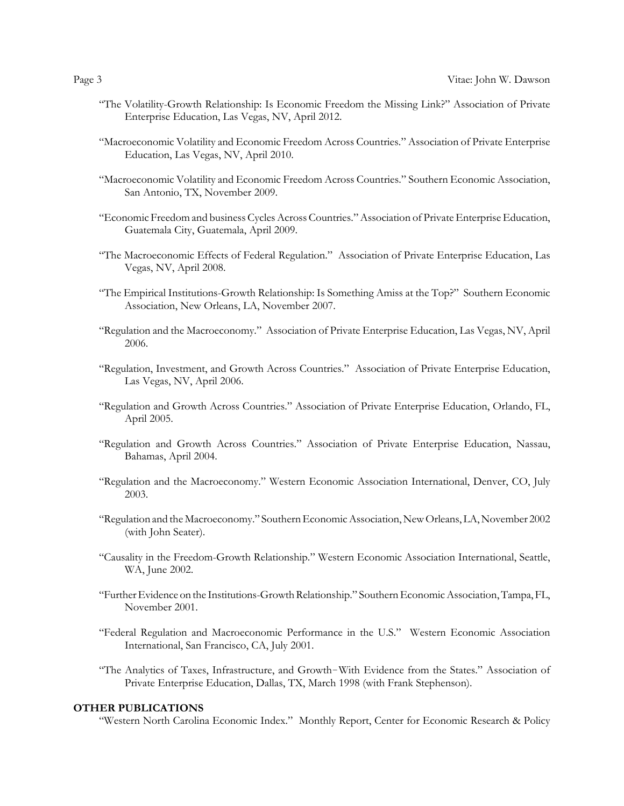- "The Volatility-Growth Relationship: Is Economic Freedom the Missing Link?" Association of Private Enterprise Education, Las Vegas, NV, April 2012.
- "Macroeconomic Volatility and Economic Freedom Across Countries." Association of Private Enterprise Education, Las Vegas, NV, April 2010.
- "Macroeconomic Volatility and Economic Freedom Across Countries." Southern Economic Association, San Antonio, TX, November 2009.
- "Economic Freedom and business Cycles Across Countries." Association of Private Enterprise Education, Guatemala City, Guatemala, April 2009.
- "The Macroeconomic Effects of Federal Regulation." Association of Private Enterprise Education, Las Vegas, NV, April 2008.
- "The Empirical Institutions-Growth Relationship: Is Something Amiss at the Top?" Southern Economic Association, New Orleans, LA, November 2007.
- "Regulation and the Macroeconomy." Association of Private Enterprise Education, Las Vegas, NV, April 2006.
- "Regulation, Investment, and Growth Across Countries." Association of Private Enterprise Education, Las Vegas, NV, April 2006.
- "Regulation and Growth Across Countries." Association of Private Enterprise Education, Orlando, FL, April 2005.
- "Regulation and Growth Across Countries." Association of Private Enterprise Education, Nassau, Bahamas, April 2004.
- "Regulation and the Macroeconomy." Western Economic Association International, Denver, CO, July 2003.
- "Regulation and the Macroeconomy." Southern Economic Association, New Orleans, LA, November 2002 (with John Seater).
- "Causality in the Freedom-Growth Relationship." Western Economic Association International, Seattle, WA, June 2002.
- "Further Evidence on the Institutions-Growth Relationship." Southern Economic Association, Tampa, FL, November 2001.
- "Federal Regulation and Macroeconomic Performance in the U.S." Western Economic Association International, San Francisco, CA, July 2001.
- "The Analytics of Taxes, Infrastructure, and Growth-With Evidence from the States." Association of Private Enterprise Education, Dallas, TX, March 1998 (with Frank Stephenson).

#### **OTHER PUBLICATIONS**

"Western North Carolina Economic Index." Monthly Report, Center for Economic Research & Policy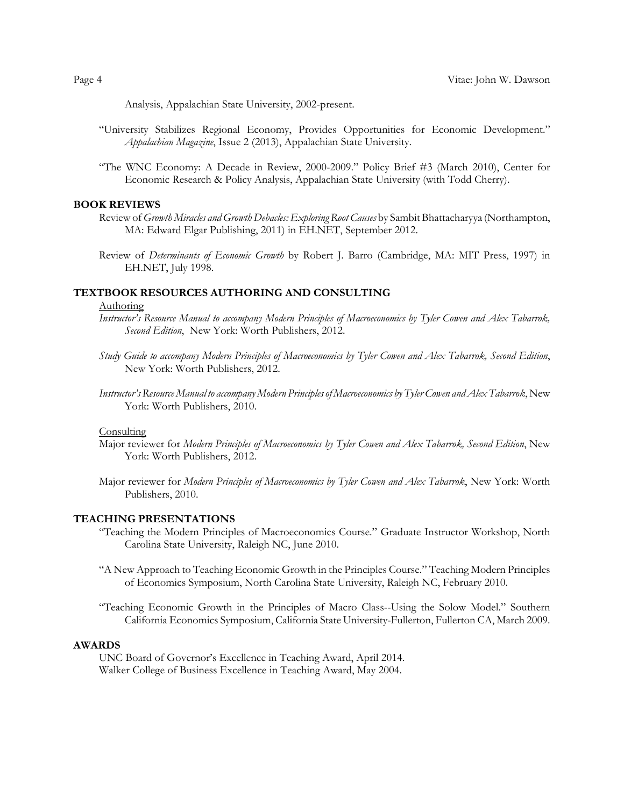Analysis, Appalachian State University, 2002-present.

- "University Stabilizes Regional Economy, Provides Opportunities for Economic Development." *Appalachian Magazine*, Issue 2 (2013), Appalachian State University.
- "The WNC Economy: A Decade in Review, 2000-2009." Policy Brief #3 (March 2010), Center for Economic Research & Policy Analysis, Appalachian State University (with Todd Cherry).

#### **BOOK REVIEWS**

- Review of *Growth Miracles and Growth Debacles: Exploring Root Causes* by Sambit Bhattacharyya (Northampton, MA: Edward Elgar Publishing, 2011) in EH.NET, September 2012.
- Review of *Determinants of Economic Growth* by Robert J. Barro (Cambridge, MA: MIT Press, 1997) in EH.NET, July 1998.

#### **TEXTBOOK RESOURCES AUTHORING AND CONSULTING**

#### Authoring

- *Instructor's Resource Manual to accompany Modern Principles of Macroeconomics by Tyler Cowen and Alex Tabarrok, Second Edition*, New York: Worth Publishers, 2012.
- *Study Guide to accompany Modern Principles of Macroeconomics by Tyler Cowen and Alex Tabarrok, Second Edition*, New York: Worth Publishers, 2012.
- *Instructor's Resource Manual to accompany Modern Principles of Macroeconomics by Tyler Cowen and Alex Tabarrok*, New York: Worth Publishers, 2010.

#### **Consulting**

- Major reviewer for *Modern Principles of Macroeconomics by Tyler Cowen and Alex Tabarrok, Second Edition*, New York: Worth Publishers, 2012.
- Major reviewer for *Modern Principles of Macroeconomics by Tyler Cowen and Alex Tabarrok*, New York: Worth Publishers, 2010.

# **TEACHING PRESENTATIONS**

- "Teaching the Modern Principles of Macroeconomics Course." Graduate Instructor Workshop, North Carolina State University, Raleigh NC, June 2010.
- "A New Approach to Teaching Economic Growth in the Principles Course." Teaching Modern Principles of Economics Symposium, North Carolina State University, Raleigh NC, February 2010.
- "Teaching Economic Growth in the Principles of Macro Class--Using the Solow Model." Southern California Economics Symposium, California State University-Fullerton, Fullerton CA, March 2009.

#### **AWARDS**

UNC Board of Governor's Excellence in Teaching Award, April 2014. Walker College of Business Excellence in Teaching Award, May 2004.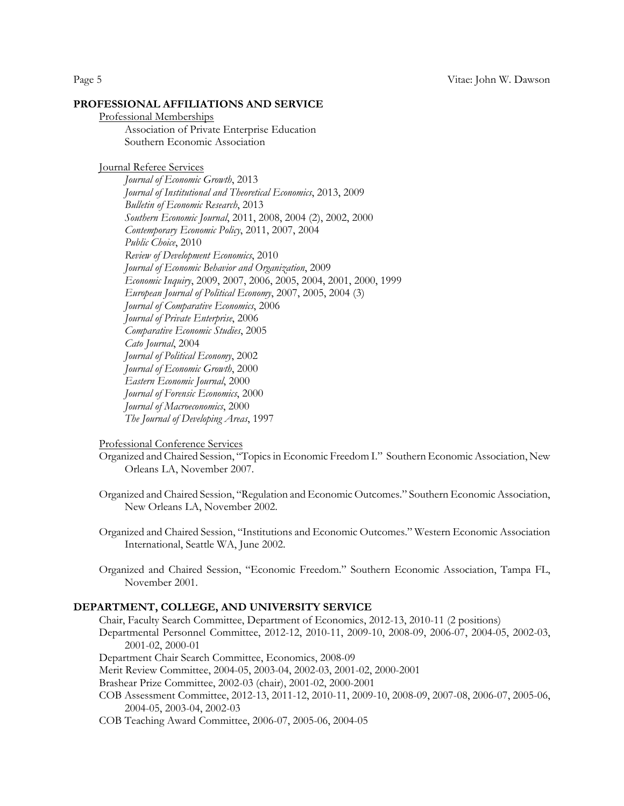# **PROFESSIONAL AFFILIATIONS AND SERVICE**

#### Professional Memberships

Association of Private Enterprise Education Southern Economic Association

# Journal Referee Services

*Journal of Economic Growth*, 2013 *Journal of Institutional and Theoretical Economics*, 2013, 2009 *Bulletin of Economic Research*, 2013 *Southern Economic Journal*, 2011, 2008, 2004 (2), 2002, 2000 *Contemporary Economic Policy*, 2011, 2007, 2004 *Public Choice*, 2010 *Review of Development Economics*, 2010 *Journal of Economic Behavior and Organization*, 2009 *Economic Inquiry*, 2009, 2007, 2006, 2005, 2004, 2001, 2000, 1999 *European Journal of Political Economy*, 2007, 2005, 2004 (3) *Journal of Comparative Economics*, 2006 *Journal of Private Enterprise*, 2006 *Comparative Economic Studies*, 2005 *Cato Journal*, 2004 *Journal of Political Economy*, 2002 *Journal of Economic Growth*, 2000 *Eastern Economic Journal*, 2000 *Journal of Forensic Economics*, 2000 *Journal of Macroeconomics*, 2000 *The Journal of Developing Areas*, 1997

# Professional Conference Services

- Organized and Chaired Session, "Topics in Economic Freedom I." Southern Economic Association, New Orleans LA, November 2007.
- Organized and Chaired Session, "Regulation and Economic Outcomes." Southern Economic Association, New Orleans LA, November 2002.
- Organized and Chaired Session, "Institutions and Economic Outcomes." Western Economic Association International, Seattle WA, June 2002.
- Organized and Chaired Session, "Economic Freedom." Southern Economic Association, Tampa FL, November 2001.

# **DEPARTMENT, COLLEGE, AND UNIVERSITY SERVICE**

- Chair, Faculty Search Committee, Department of Economics, 2012-13, 2010-11 (2 positions) Departmental Personnel Committee, 2012-12, 2010-11, 2009-10, 2008-09, 2006-07, 2004-05, 2002-03, 2001-02, 2000-01
- Department Chair Search Committee, Economics, 2008-09
- Merit Review Committee, 2004-05, 2003-04, 2002-03, 2001-02, 2000-2001
- Brashear Prize Committee, 2002-03 (chair), 2001-02, 2000-2001
- COB Assessment Committee, 2012-13, 2011-12, 2010-11, 2009-10, 2008-09, 2007-08, 2006-07, 2005-06, 2004-05, 2003-04, 2002-03
- COB Teaching Award Committee, 2006-07, 2005-06, 2004-05